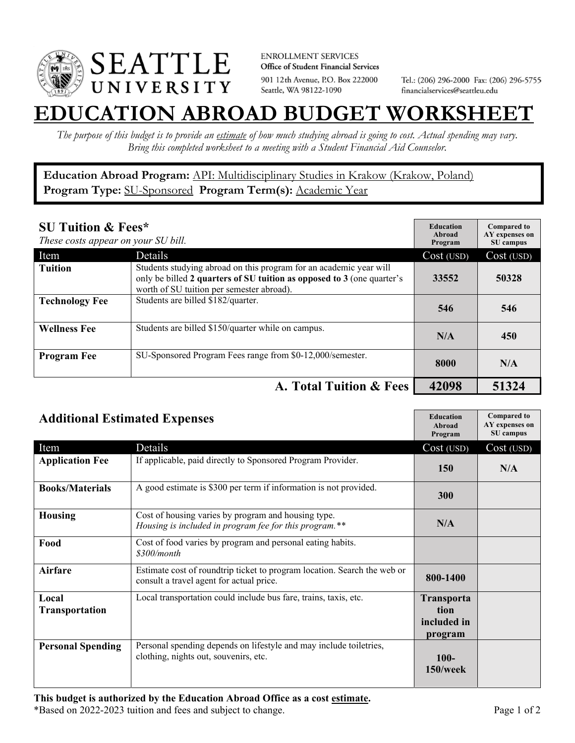

**ENROLLMENT SERVICES** Office of Student Financial Services 901 12th Avenue, P.O. Box 222000 Seattle, WA 98122-1090

Tel.: (206) 296-2000 Fax: (206) 296-5755 financialservices@seattleu.edu

## **EATION ABROAD BUDGET WORKSHEE**

*The purpose of this budget is to provide an estimate of how much studying abroad is going to cost. Actual spending may vary. Bring this completed worksheet to a meeting with a Student Financial Aid Counselor.* 

**Education Abroad Program:** API: Multidisciplinary Studies in Krakow (Krakow, Poland) Program Type: **SU-Sponsored** Program Term(s): **Academic Year** 

| <b>SU Tuition &amp; Fees*</b><br>These costs appear on your SU bill. |                                                                                                                                                                                           | <b>Education</b><br>Abroad<br>Program | <b>Compared to</b><br>AY expenses on<br>SU campus |
|----------------------------------------------------------------------|-------------------------------------------------------------------------------------------------------------------------------------------------------------------------------------------|---------------------------------------|---------------------------------------------------|
| Item                                                                 | Details                                                                                                                                                                                   | Cost (USD)                            | Cost (USD)                                        |
| <b>Tuition</b>                                                       | Students studying abroad on this program for an academic year will<br>only be billed 2 quarters of SU tuition as opposed to 3 (one quarter's<br>worth of SU tuition per semester abroad). | 33552                                 | 50328                                             |
| <b>Technology Fee</b>                                                | Students are billed \$182/quarter.                                                                                                                                                        | 546                                   | 546                                               |
| <b>Wellness Fee</b>                                                  | Students are billed \$150/quarter while on campus.                                                                                                                                        | N/A                                   | 450                                               |
| <b>Program Fee</b>                                                   | SU-Sponsored Program Fees range from \$0-12,000/semester.                                                                                                                                 | 8000                                  | N/A                                               |
|                                                                      | A. Total Tuition & Fees                                                                                                                                                                   | 42098                                 | 51324                                             |

| <b>Additional Estimated Expenses</b> |                                                                                                                      | <b>Education</b><br>Abroad<br>Program               | <b>Compared to</b><br>AY expenses on<br>SU campus |
|--------------------------------------|----------------------------------------------------------------------------------------------------------------------|-----------------------------------------------------|---------------------------------------------------|
| Item                                 | Details                                                                                                              | Cost (USD)                                          | Cost (USD)                                        |
| <b>Application Fee</b>               | If applicable, paid directly to Sponsored Program Provider.                                                          | <b>150</b>                                          | N/A                                               |
| <b>Books/Materials</b>               | A good estimate is \$300 per term if information is not provided.                                                    | 300                                                 |                                                   |
| <b>Housing</b>                       | Cost of housing varies by program and housing type.<br>Housing is included in program fee for this program.**        | N/A                                                 |                                                   |
| Food                                 | Cost of food varies by program and personal eating habits.<br>\$300/month                                            |                                                     |                                                   |
| Airfare                              | Estimate cost of roundtrip ticket to program location. Search the web or<br>consult a travel agent for actual price. | 800-1400                                            |                                                   |
| Local<br>Transportation              | Local transportation could include bus fare, trains, taxis, etc.                                                     | <b>Transporta</b><br>tion<br>included in<br>program |                                                   |
| <b>Personal Spending</b>             | Personal spending depends on lifestyle and may include toiletries,<br>clothing, nights out, souvenirs, etc.          | $100 -$<br>$150$ /week                              |                                                   |